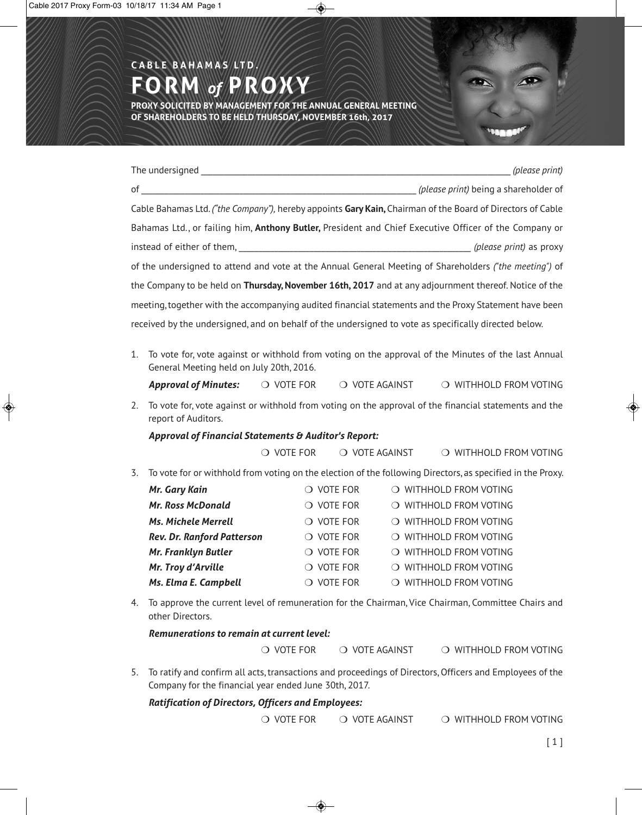# The undersigned \_\_\_\_\_\_\_\_\_\_\_\_\_\_\_\_\_\_\_\_\_\_\_\_\_\_\_\_\_\_\_\_\_\_\_\_\_\_\_\_\_\_\_\_\_\_\_\_\_\_\_\_\_\_\_\_\_\_\_\_\_\_\_\_\_\_\_\_\_\_\_\_\_\_\_\_\_\_\_\_ *(please print)* of \_\_\_\_\_\_\_\_\_\_\_\_\_\_\_\_\_\_\_\_\_\_\_\_\_\_\_\_\_\_\_\_\_\_\_\_\_\_\_\_\_\_\_\_\_\_\_\_\_\_\_\_\_\_\_\_\_\_\_\_\_\_\_\_\_\_\_\_\_\_ *(please print)* being a shareholder of Cable Bahamas Ltd. *("the Company"),* hereby appoints **Gary Kain,** Chairman of the Board of Directors of Cable Bahamas Ltd., or failing him, **Anthony Butler,** President and Chief Executive Officer of the Company or instead of either of them, \_\_\_\_\_\_\_\_\_\_\_\_\_\_\_\_\_\_\_\_\_\_\_\_\_\_\_\_\_\_\_\_\_\_\_\_\_\_\_\_\_\_\_\_\_\_\_\_\_\_\_\_\_\_\_\_\_\_\_ *(please print)* as proxy of the undersigned to attend and vote at the Annual General Meeting of Shareholders *("the meeting")* of the Company to be held on **Thursday, November 16th, 2017** and at any adjournment thereof. Notice of the meeting,together with the accompanying audited financial statements and the Proxy Statement have been **FORM** *of* **PROXY PROXY SOLICITED BY MANAGEMENT FOR THE ANNUAL GENERAL MEETING OF SHAREHOLDERS TO BE HELD THURSDAY, NOVEMBER 16th, 2017**

1. To vote for, vote against or withhold from voting on the approval of the Minutes of the last Annual

received by the undersigned, and on behalf of the undersigned to vote as specifically directed below.

- General Meeting held on July 20th, 2016. Approval of Minutes:  $\bigcirc$  VOTE FOR  $\bigcirc$  VOTE AGAINST  $\bigcirc$  WITHHOLD FROM VOTING
- 
- 2. To vote for, vote against or withhold from voting on the approval of the financial statements and the report of Auditors.

#### *Approval of Financial Statements & Auditor's Report:*

**C A B L E B A H A M A S LT D .**

 $\overline{O}$  VOTE FOR  $\overline{O}$  VOTE AGAINST  $\overline{O}$  WITHHOLD FROM VOTING

3. To vote for or withhold from voting on the election of the following Directors, as specified in the Proxy.

| Mr. Gary Kain                     | $\bigcirc$ vote for | O WITHHOLD FROM VOTING |
|-----------------------------------|---------------------|------------------------|
| <b>Mr. Ross McDonald</b>          | $\bigcirc$ vote for | O WITHHOLD FROM VOTING |
| <b>Ms. Michele Merrell</b>        | $\bigcirc$ vote for | O WITHHOLD FROM VOTING |
| <b>Rev. Dr. Ranford Patterson</b> | $\circ$ vote for    | O WITHHOLD FROM VOTING |
| Mr. Franklyn Butler               | $\bigcirc$ vote for | O WITHHOLD FROM VOTING |
| Mr. Troy d'Arville                | $\bigcirc$ vote for | O WITHHOLD FROM VOTING |
| Ms. Elma E. Campbell              | <b>VOTE FOR</b>     | O WITHHOLD FROM VOTING |

4. To approve the current level of remuneration for the Chairman, Vice Chairman, Committee Chairs and other Directors.

*Remunerations to remain at current level:*

 $\bigcirc$  vote for  $\bigcirc$  vote against  $\bigcirc$  withhold from voting

5. To ratify and confirm all acts,transactions and proceedings of Directors,Officers and Employees of the Company for the financial year ended June 30th, 2017.

#### *Ratification of Directors, Officers and Employees:*

 $\overline{O}$  VOTE FOR  $\overline{O}$  VOTE AGAINST  $\overline{O}$  WITHHOLD FROM VOTING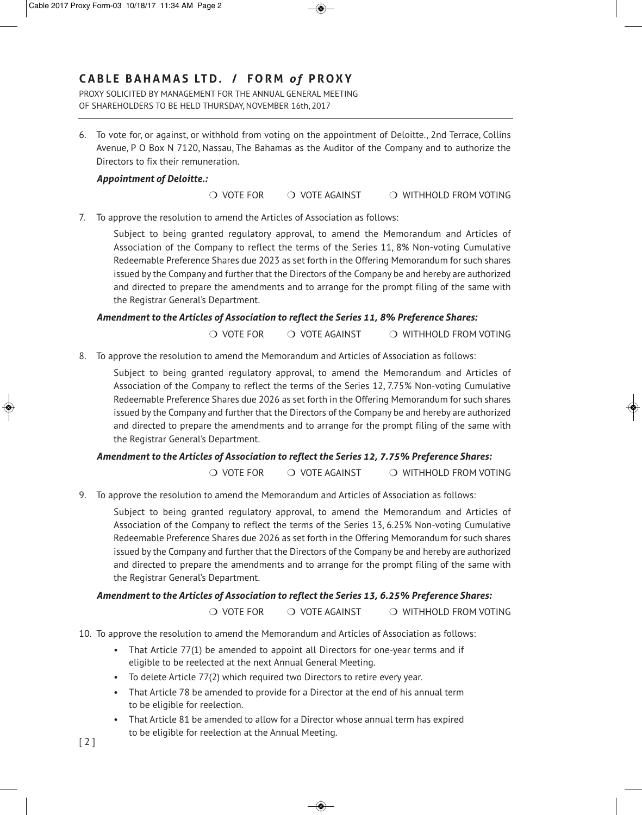PROXY SOLICITED BY MANAGEMENT FOR THE ANNUAL GENERAL MEETING OF SHAREHOLDERS TO BE HELD THURSDAY, NOVEMBER 16th, 2017

6. To vote for, or against, or withhold from voting on the appointment of Deloitte., 2nd Terrace, Collins Avenue, P O Box N 7120, Nassau, The Bahamas as the Auditor of the Company and to authorize the Directors to fix their remuneration.

#### *Appointment of Deloitte.:*

 $\overline{O}$  VOTE FOR  $\overline{O}$  VOTE AGAINST  $\overline{O}$  WITHHOLD FROM VOTING

7. To approve the resolution to amend the Articles of Association as follows:

Subject to being granted regulatory approval, to amend the Memorandum and Articles of Association of the Company to reflect the terms of the Series 11, 8% Non-voting Cumulative Redeemable Preference Shares due 2023 as set forth in the Offering Memorandum for such shares issued by the Company and further that the Directors of the Company be and hereby are authorized and directed to prepare the amendments and to arrange for the prompt filing of the same with the Registrar General's Department.

#### *Amendment to the Articles of Association to reflect the Series 11, 8% Preference Shares:*

 $\overline{O}$  VOTE FOR  $\overline{O}$  VOTE AGAINST  $\overline{O}$  WITHHOLD FROM VOTING

8. To approve the resolution to amend the Memorandum and Articles of Association as follows:

Subject to being granted regulatory approval, to amend the Memorandum and Articles of Association of the Company to reflect the terms of the Series 12, 7.75% Non-voting Cumulative Redeemable Preference Shares due 2026 as set forth in the Offering Memorandum for such shares issued by the Company and further that the Directors of the Company be and hereby are authorized and directed to prepare the amendments and to arrange for the prompt filing of the same with the Registrar General's Department.

#### *Amendment to the Articles of Association to reflect the Series 12, 7.75% Preference Shares:*

 $\overline{O}$  VOTE FOR  $\overline{O}$  VOTE AGAINST  $\overline{O}$  WITHHOLD FROM VOTING

9. To approve the resolution to amend the Memorandum and Articles of Association as follows:

Subject to being granted regulatory approval, to amend the Memorandum and Articles of Association of the Company to reflect the terms of the Series 13, 6.25% Non-voting Cumulative Redeemable Preference Shares due 2026 as set forth in the Offering Memorandum for such shares issued by the Company and further that the Directors of the Company be and hereby are authorized and directed to prepare the amendments and to arrange for the prompt filing of the same with the Registrar General's Department.

#### *Amendment to the Articles of Association to reflect the Series 13, 6.25% Preference Shares:*

 $\overline{O}$  VOTE FOR  $\overline{O}$  VOTE AGAINST  $\overline{O}$  WITHHOLD FROM VOTING

- 10. To approve the resolution to amend the Memorandum and Articles of Association as follows:
	- That Article 77(1) be amended to appoint all Directors for one-year terms and if eligible to be reelected at the next Annual General Meeting.
	- To delete Article 77(2) which required two Directors to retire every year.
	- That Article 78 be amended to provide for a Director at the end of his annual term to be eligible for reelection.
- That Article 81 be amended to allow for a Director whose annual term has expired to be eligible for reelection at the Annual Meeting. [ 2 ]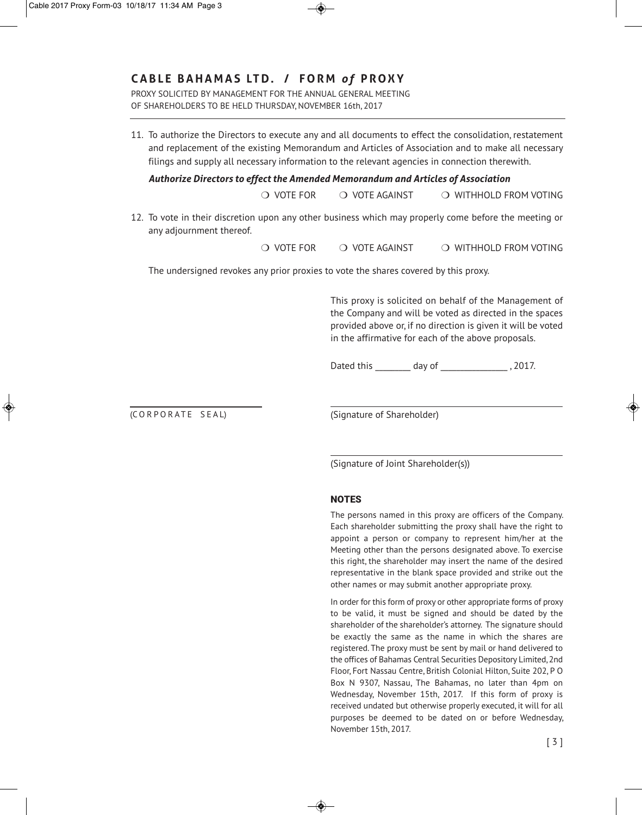### **CABL E BAHA M AS LT D. / F O R M** *o f* **PROXY**

PROXY SOLICITED BY MANAGEMENT FOR THE ANNUAL GENERAL MEETING OF SHAREHOLDERS TO BE HELD THURSDAY, NOVEMBER 16th, 2017

11. To authorize the Directors to execute any and all documents to effect the consolidation, restatement and replacement of the existing Memorandum and Articles of Association and to make all necessary filings and supply all necessary information to the relevant agencies in connection therewith.

*Authorize Directors to effect the Amended Memorandum and Articles of Association*

 $\overline{O}$  VOTE FOR  $\overline{O}$  VOTE AGAINST  $\overline{O}$  WITHHOLD FROM VOTING

12. To vote in their discretion upon any other business which may properly come before the meeting or any adjournment thereof.

 $\overline{O}$  VOTE FOR  $\overline{O}$  VOTE AGAINST  $\overline{O}$  WITHHOLD FROM VOTING

The undersigned revokes any prior proxies to vote the shares covered by this proxy.

This proxy is solicited on behalf of the Management of the Company and will be voted as directed in the spaces provided above or, if no direction is given it will be voted in the affirmative for each of the above proposals.

Dated this \_\_\_\_\_\_\_\_ day of \_\_\_\_\_\_\_\_\_\_\_\_\_\_\_\_\_\_\_\_, 2017.

(CORPORATE SEAL)

(Signature of Shareholder)

(Signature of Joint Shareholder(s))

#### **NOTES**

The persons named in this proxy are officers of the Company. Each shareholder submitting the proxy shall have the right to appoint a person or company to represent him/her at the Meeting other than the persons designated above. To exercise this right, the shareholder may insert the name of the desired representative in the blank space provided and strike out the other names or may submit another appropriate proxy.

In order for this form of proxy or other appropriate forms of proxy to be valid, it must be signed and should be dated by the shareholder of the shareholder's attorney. The signature should be exactly the same as the name in which the shares are registered. The proxy must be sent by mail or hand delivered to the offices of Bahamas Central Securities Depository Limited,2nd Floor, Fort Nassau Centre, British Colonial Hilton, Suite 202, P O Box N 9307, Nassau, The Bahamas, no later than 4pm on Wednesday, November 15th, 2017. If this form of proxy is received undated but otherwise properly executed, it will for all purposes be deemed to be dated on or before Wednesday, November 15th, 2017.